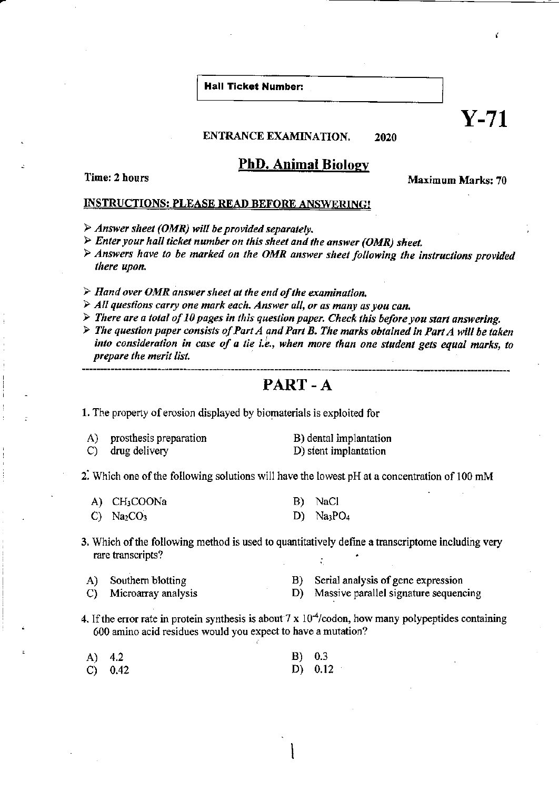**Hall Ticket Number:** 

ENTRANCE EXAMINATION. 2020

## **PhD. Animal Biology**

Time: 2 hours

**Maximum Marks: 70** 

Č

 $\mathbf{Y}\text{-}71$ 

## **INSTRUCTIONS: PLEASE READ BEFORE ANSWERING!**

- $\triangleright$  Answer sheet (OMR) will be provided separately.
- $\triangleright$  Enter your hall ticket number on this sheet and the answer (OMR) sheet.
- $\triangleright$  Answers have to be marked on the OMR answer sheet following the instructions provided there upon.
- $\triangleright$  Hand over OMR answer sheet at the end of the examination,
- > All questions carry one mark each. Answer all, or as many as you can.
- $\triangleright$  There are a total of 10 pages in this question paper. Check this before you start answering.
- $\triangleright$  The question paper consists of Part A and Part B. The marks obtained in Part A will be taken into consideration in case of a tie i.e., when more than one student gets equal marks, to prepare the merit list.

## PART-A

1. The property of erosion displayed by biomaterials is exploited for

prosthesis preparation B) dental implantation A) D) stent implantation drug delivery  $\mathcal{C}$ 

2. Which one of the following solutions will have the lowest  $pH$  at a concentration of 100 mM

| A) CH <sub>3</sub> COONa   | B) NaCl     |
|----------------------------|-------------|
| $C)$ Na <sub>2</sub> $CO3$ | D) $Na3PO4$ |

3. Which of the following method is used to quantitatively define a transcriptome including very rare transcripts?

| Southern blotting<br>A) |  |
|-------------------------|--|
|-------------------------|--|

Serial analysis of gene expression  $B)$ 

Microarray analysis  $\mathcal{C}$ 

- D) Massive parallel signature sequencing
- 4. If the error rate in protein synthesis is about 7 x  $10<sup>4</sup>/\text{codon}$ , how many polypeptides containing 600 amino acid residues would you expect to have a mutation?

| A) 4.2    | B) 0.3 |           |
|-----------|--------|-----------|
| C) $0.42$ |        | D) $0.12$ |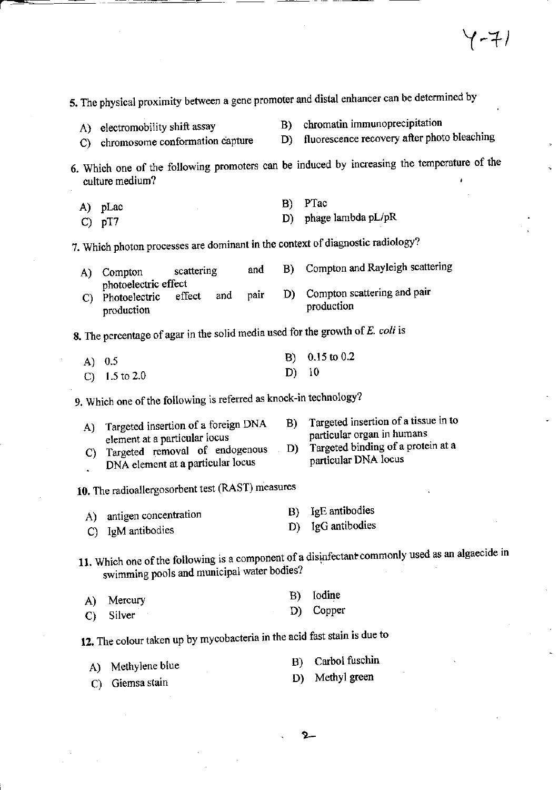|                     | culture medium?                                                   |                                                                     |      |    | 6. Which one of the following promoters can be induced by increasing the temperature of the<br>Ł |
|---------------------|-------------------------------------------------------------------|---------------------------------------------------------------------|------|----|--------------------------------------------------------------------------------------------------|
| A)                  | pLac                                                              |                                                                     |      | B) | PTac                                                                                             |
|                     | $C)$ pT7                                                          |                                                                     |      | D) | phage lambda pL/pR                                                                               |
|                     |                                                                   |                                                                     |      |    | 7. Which photon processes are dominant in the context of diagnostic radiology?                   |
| A)                  | Compton<br>photoelectric effect                                   | scattering                                                          | and  | B) | Compton and Rayleigh scattering                                                                  |
| C)                  | Photoelectric<br>production                                       | and<br>effect                                                       | pair | D) | Compton scattering and pair<br>production                                                        |
|                     |                                                                   |                                                                     |      |    | 8. The percentage of agar in the solid media used for the growth of E. coli is                   |
|                     | A) $0.5$                                                          |                                                                     |      | B) | $0.15$ to $0.2$                                                                                  |
|                     | C) $1.5$ to 2.0                                                   |                                                                     |      | D) | 10                                                                                               |
|                     | 9. Which one of the following is referred as knock-in technology? |                                                                     |      |    |                                                                                                  |
| A)                  |                                                                   | Targeted insertion of a foreign DNA                                 |      | B) | Targeted insertion of a tissue in to                                                             |
|                     | element at a particular locus                                     |                                                                     |      | D) | particular organ in humans<br>Targeted binding of a protein at a                                 |
| $\mathcal{C}$<br>k, |                                                                   | Targeted removal of endogenous<br>DNA element at a particular locus |      |    | particular DNA locus                                                                             |
|                     | 10. The radioallergosorbent test (RAST) measures                  |                                                                     |      |    |                                                                                                  |
| A)                  | antigen concentration                                             |                                                                     |      | B) | IgE antibodies                                                                                   |
| C)                  | IgM antibodies                                                    |                                                                     |      | D) | IgG antibodies                                                                                   |
|                     |                                                                   | swimming pools and municipal water bodies?                          |      |    | 11. Which one of the following is a component of a disinfectant commonly used as an algaecide in |
| A)                  | Mercury                                                           |                                                                     |      | B) | Iodine                                                                                           |
| $\mathbf{C}$        | Silver                                                            |                                                                     |      | D) | Copper                                                                                           |
|                     |                                                                   |                                                                     |      |    | 12. The colour taken up by mycobacteria in the acid fast stain is due to                         |
| A)                  | Methylene blue                                                    |                                                                     |      | B) | Carbol fuschin                                                                                   |
| C)                  | Giemsa stain                                                      |                                                                     |      | D) | Methyl green                                                                                     |
|                     |                                                                   |                                                                     |      |    |                                                                                                  |

5. The physical proximity between a gene promoter and distal enhancer can be determined by

D)

A) electromobility shift assay

C) chromosome conformation capture

chromatin immunoprecipitation **B**) fluorescence recovery after photo bleaching

 $2-$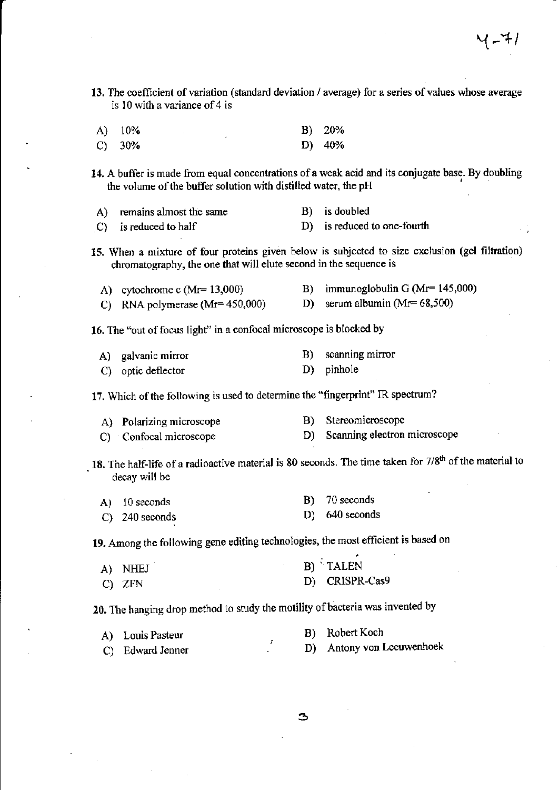- 13. The coefficient of variation (standard deviation / average) for a series of values whose average is 10 with a variance of 4 is A) 10% B) 20%
	- $C)$  30% D) 40%

14. A buffer is made from equal concentrations of a weak acid and its conjugate base. By doubling the volume of the buffer solution with distilled water, the pH

| A) remains almost the same       | B) is doubled               |
|----------------------------------|-----------------------------|
| $\mathcal{C}$ is reduced to half | D) is reduced to one-fourth |

15. When a mixture of four proteins given below is subjected to size exclusion (gel filtration) chromatography, the one that will elute second in the sequence is

- A) cytochrome c (Mr= 13,000) B) immunoglobulin G (Mr= 145,000)<br>
C) RNA polymerase (Mr= 450,000) D) serum albumin (Mr= 68,500)
- C) RNA polymerase  $(Mr= 450,000)$  D)

16. The "out of focus light" in a confocal microsoope is blocked by

- A) galvanic mirror B) scanning mirror
- C) optic deflector D) pinhole

17. Which of the following is used to determine the "fingerprint" IR spectrum?

- A) Polarizing microscope B) Stereomicroscope
- C) Confocal microscope D) Scanning electron microscope

18. The half-life of a radioactive material is 80 seconds. The time taken for  $7/8<sup>th</sup>$  of the material to decay will be

| A) 10 seconds     | B) 70 seconds    |
|-------------------|------------------|
| $(C)$ 240 seconds | $D)$ 640 seconds |

19. Among the following gene editing technologies, the most efficient is based on

| A) NHEJ | B) TALEN       |
|---------|----------------|
| C) ZFN  | D) CRISPR-Cas9 |

20. The hanging drop method to study the motility of bacteria was invented by

| A) Louis Pasteur |  | B) Robert Koch            |
|------------------|--|---------------------------|
| C) Edward Jenner |  | D) Antony von Leeuwenhoek |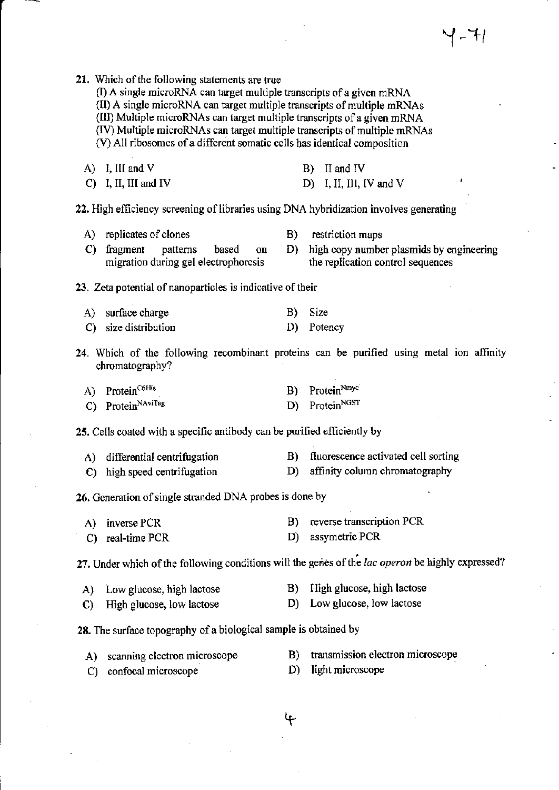| 21. Which of the following statements are true<br>(I) A single microRNA can target multiple transcripts of a given mRNA<br>(II) A single microRNA can target multiple transcripts of multiple mRNAs<br>(III) Multiple microRNAs can target multiple transcripts of a given mRNA<br>(IV) Multiple microRNAs can target multiple transcripts of multiple mRNAs<br>(V) All ribosomes of a different somatic cells has identical composition |          |                                                                                                      |
|------------------------------------------------------------------------------------------------------------------------------------------------------------------------------------------------------------------------------------------------------------------------------------------------------------------------------------------------------------------------------------------------------------------------------------------|----------|------------------------------------------------------------------------------------------------------|
| $(A)$ I, III and V<br>$C)$ I, II, III and IV                                                                                                                                                                                                                                                                                                                                                                                             |          | II and IV<br><b>B</b> )<br>D) I, II, III, IV and V                                                   |
| 22. High efficiency screening of libraries using DNA hybridization involves generating                                                                                                                                                                                                                                                                                                                                                   |          |                                                                                                      |
| replicates of clones<br>A)<br>fragment<br>$\mathbf{C}$<br>patterns<br>based<br>on<br>migration during gel electrophoresis                                                                                                                                                                                                                                                                                                                | D)       | B) restriction maps<br>high copy number plasmids by engineering<br>the replication control sequences |
| 23. Zeta potential of nanoparticles is indicative of their                                                                                                                                                                                                                                                                                                                                                                               |          |                                                                                                      |
| surface charge<br>A)<br>size distribution<br>C)                                                                                                                                                                                                                                                                                                                                                                                          | B)<br>D) | <b>Size</b><br>Potency                                                                               |
| chromatography?                                                                                                                                                                                                                                                                                                                                                                                                                          |          | 24. Which of the following recombinant proteins can be purified using metal ion affinity             |
| Protein <sup>C6His</sup><br>A)<br>Protein <sup>NAviTag</sup><br>$\mathcal{C}$                                                                                                                                                                                                                                                                                                                                                            | B)<br>D) | ProteinNmyc<br>Protein <sup>NGST</sup>                                                               |
| 25. Cells coated with a specific antibody can be purified efficiently by                                                                                                                                                                                                                                                                                                                                                                 |          |                                                                                                      |
| differential centrifugation<br>A)<br>high speed centrifugation<br>C)                                                                                                                                                                                                                                                                                                                                                                     | B)<br>D) | fluorescence activated cell sorting<br>affinity column chromatography                                |
| 26. Generation of single stranded DNA probes is done by                                                                                                                                                                                                                                                                                                                                                                                  |          |                                                                                                      |
| inverse PCR<br>A)<br>real-time PCR<br>C)                                                                                                                                                                                                                                                                                                                                                                                                 | B)<br>D) | reverse transcription PCR<br>assymetric PCR                                                          |
|                                                                                                                                                                                                                                                                                                                                                                                                                                          |          | 27. Under which of the following conditions will the genes of the lac operon be highly expressed?    |
| Low glucose, high lactose<br>A)<br>High glucose, low lactose<br>$\mathbf{C}$ ).                                                                                                                                                                                                                                                                                                                                                          | B)<br>D) | High glucose, high lactose<br>Low glucose, low lactose                                               |
| 28. The surface topography of a biological sample is obtained by                                                                                                                                                                                                                                                                                                                                                                         |          |                                                                                                      |
| scanning electron microscope<br>A)<br>confocal microscope<br>C)                                                                                                                                                                                                                                                                                                                                                                          | B)<br>D) | transmission electron microscope<br>light microscope                                                 |
|                                                                                                                                                                                                                                                                                                                                                                                                                                          | ᡩ        |                                                                                                      |

 $\label{eq:2} \frac{1}{2} \int_{\mathbb{R}^3} \frac{1}{\sqrt{2}} \, \mathrm{d} \mu \, \mathrm{d} \mu \, \mathrm{d} \mu \, \mathrm{d} \mu \, \mathrm{d} \mu \, \mathrm{d} \mu \, \mathrm{d} \mu \, \mathrm{d} \mu \, \mathrm{d} \mu \, \mathrm{d} \mu \, \mathrm{d} \mu \, \mathrm{d} \mu \, \mathrm{d} \mu \, \mathrm{d} \mu \, \mathrm{d} \mu \, \mathrm{d} \mu \, \mathrm{d} \mu \, \mathrm{d} \mu \, \mathrm{d} \mu \, \mathrm{d} \mu \, \mathrm$ 

 $\label{eq:2.1} \frac{1}{\sqrt{2}}\left(\frac{1}{\sqrt{2}}\right)^{2} \frac{1}{\sqrt{2}}\left(\frac{1}{\sqrt{2}}\right)^{2}$ 

 $\sim$ 

 $\sim$   $\sim$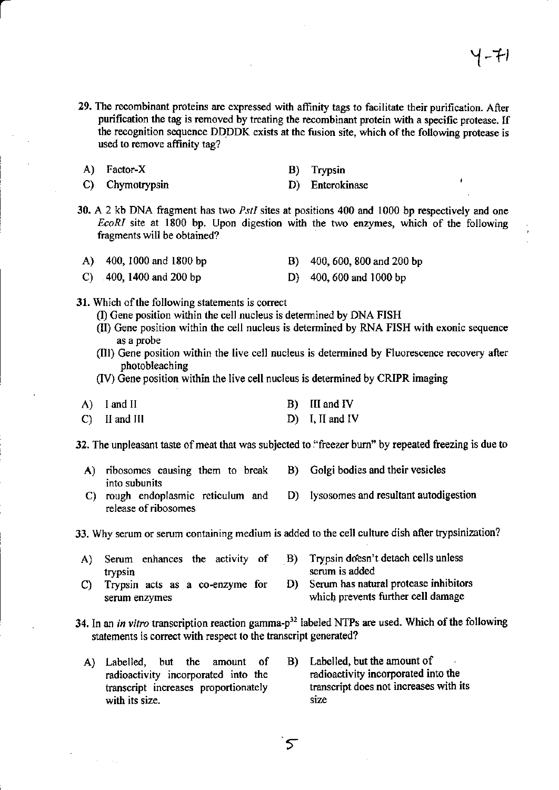- 29. The recombinant proteins are expressed with affinity tags to facilitate their purification. After purification the tag is removed by treating the recombinant protein with a specific protease. If the recognition sequence DDDDK exists at the fusion site, which of the following protease is used to remove affinity tag?
	- A) Factor-X B) Trypsin
	- C) Chymotrypsin D) Enterokinase
- -
- 30. A 2 kb DNA fragment has two  $PstI$  sites at positions 400 and 1000 bp respectively and one EcoRI site at 1800 bp. Upon digestion with the two enzymes, which of the following fragments will be obtained?
- A) 400, 1000 and 1800 bp B) 400, 600, 800 and 200 bp
- C) 400, 1400 and <sup>200</sup>bp D) 400,600 and l000bp
- 31. Which of the following statements is correct
	- (D Gene position within the cell nucleus is determined by DNA FISH
	- (lI) Gene position within the cell nucleus is determined by RNA FISH with exonic sequence as a probe
	- (Ill) Gene position within the live cell nucleus is determined by Fluorescence recovery after photobleaching
	- (IV) Gene position within the live cell nucleus is determined by CRIPR imaging

| A) I and II     | B) III and IV     |
|-----------------|-------------------|
| $C)$ II and III | $D)$ I, II and IV |

32. The unpleasant taste of meat that was subjected to "freezer burn" by repeated freezing is due to

- A) ribosomes causing them to break B) Golgi bodies and their vesicles into subunits
- C) rough endoplasmic reticulum and D) Iysosomes and resultant autodigestion release of ribosomes

Why serum or serum containing medium is added to the cell culture dish after trypsinization? 33.

- Serum enhances the activity of  $B$ ) Trypsin doesn't detach cells unless trypsin <br>Trypsin acts as a co-enzyme for D) Serum has natu A)
- Trypsin acts as a co-enzyme for D) Serum has natural protease inhibitors serum enzymes which prevents further cell damage which prevents further cell damage c)
- 34. In an *in vitro* transcription reaction gamma- $p^{32}$  labeled NTPs are used. Which of the following statements is correct with respect to the transcript generated?
	- A) Labelled, but the amount of B) Labelled, but the amount of radioactivity incorporated into the transcript increases proportionately with its size.
		- radioactivity incorporated into the transcript does not increases with its size
		- 5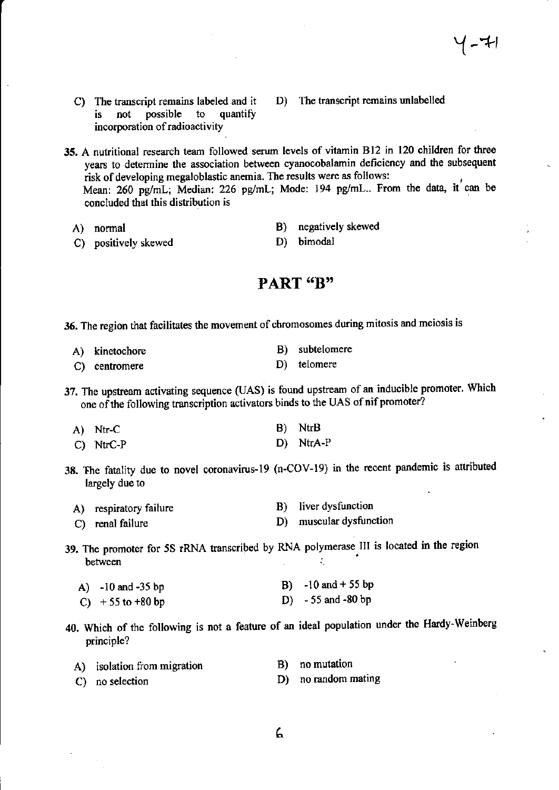C) The transcript remains labeled and it D) The transcript remains unlabelled is not possible to quantify is not possible to incorporation of radioactivity.

35. A nutritional research team followed serum levels of vitamin B12 in 120 children for three years to determine the association between cyanocobalamin deficiency and the subsequent risk of developing megaloblastic anemia. The results were as follows: Mean: 260 pg/mL; Median: 226 pg/mL; Mode: 194 pg/mL.. From the data, it can be concluded that this distribution is

- 
- C) positively skewed
- A) normal B) negatively skewed<br>
C) nositively skewed<br>
D) bimodal
	-

## PART "B"

36. The region that facilitates the movement of chromosomes during mitosis and meiosis is

| A) kinetochore | B) subtelomere |
|----------------|----------------|
| C) centromere  | D) telomere    |

37. The upstream activating sequence (UAS) is found upstream of an inducible promoter. Which one of the following transcription activators binds to the UAS of nif promoter?

| A) Ntr-C    | B) NtrB   |
|-------------|-----------|
| $C)$ NtrC-P | D) NtrA-P |

38. The fatality due to novel coronavirus-19 (n-COV-19) in the recent pandemic is attributed largely due to

| A) respiratory failure | B) liver dysfunction    |
|------------------------|-------------------------|
| C) renal failure       | D) muscular dysfunction |

39. The promoter for 5S rRNA transcribed by RNA polymerase. III is located in the region between between

| A) $-10$ and $-35$ bp | B) $-10$ and $+55$ bp |
|-----------------------|-----------------------|
| C) $+55$ to $+80$ bp  | D) $-55$ and $-80$ bp |

40. Which of the followhg is not a feature of an ideal population under the Hardy-Weinberg principle?

| A) isolation from migration | B) no mutation      |
|-----------------------------|---------------------|
| C) no selection             | D) no random mating |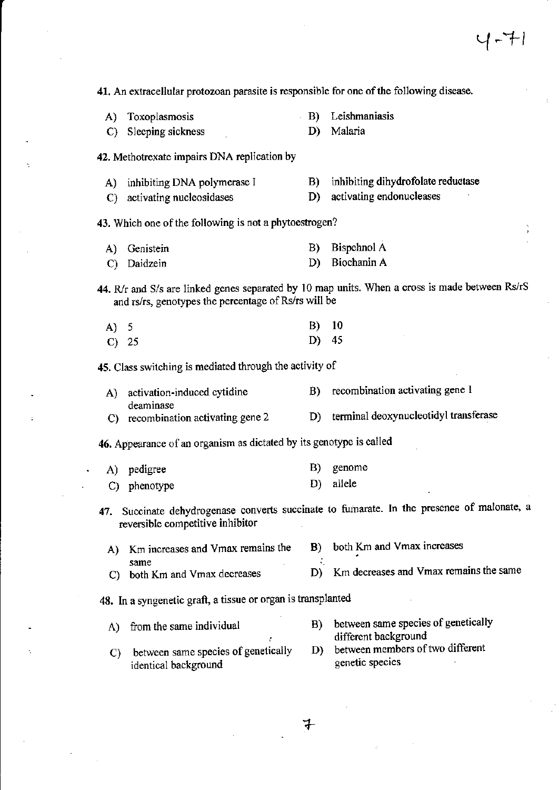41. An extracellular protozoan parasite is responsible for one of the following disease.

- A) Toxoplasmosis B) Leishmaniasis
- C) Sleeping sickness D) Malaria

42. Methotrexate impairs DNA replication by

- A) inhibiting DNA polymerase I B) inhibiting dihydrofolate reductase<br>
C) activating nucleosidases<br>
D) activating endonucleases
- C) activating nucleosidases D)

43. Which one of the following is not a phytoestrogen?

A) Genistein B) Bispehnol A C) Daidzein D) Biochanin <sup>A</sup>

44. R/r and S/s are linked genes separated by 10 map units. When a cross is made between Rs/rS and rs/rs, genotypes the percentage of Rs/rs will be

| A) 5 |         | $B)$ 10 |  |
|------|---------|---------|--|
|      | $C)$ 25 | D) $45$ |  |

45. Class switching is mediated through the activity of

| A) activation-induced cytidine     | recombination activating gene 1       |
|------------------------------------|---------------------------------------|
| deaminase                          |                                       |
| C) recombination activating gene 2 | terminal deoxynucleotidyl transferase |

46. Appearance of an organism as dictated by its genotype is called

|  | A) pedigree  | B) genome |
|--|--------------|-----------|
|  | C) phenotype | D) allele |

- 47. Succinate dehydrogenase converts succinate to fumarate. In the presence of malonate, a reversible competitive inhibitor
	- A) Km increases and Vmax remains the B) both Km and Vmax increases same same  $\frac{1}{2}$  is the same  $\frac{1}{2}$ C) both Km and Vmax decreases D) Km decreases and Vmax remains the same

48. In a syngenetic graft, a tissue or organ is transplanted

- A) from the same individual B) between same species of genetically different background
- D) between members of two different C) between same species of genetically D) between members of the identical hackground identical background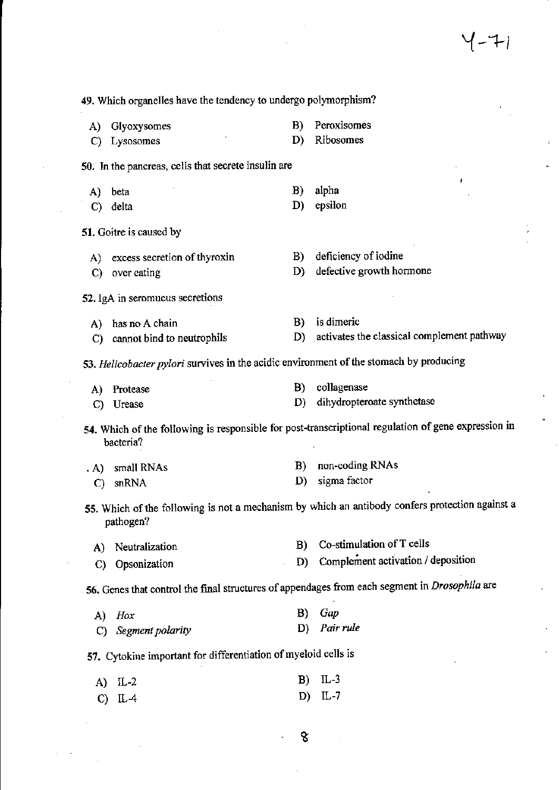49. Which organelles have the tendency to undergo polymorphism? A) Glyoxysomes B) Peroxisomes<br>C) Lysosomes D) Ribosomes C) Lysosomes 50. In the pancreas, cells that secrete insulin are A) beta B) alpha<br>
C) delta D) epsilon C) delta D) 51. Goitre is caused by A) excess secretion of thyroxin B) deficiency of iodine C) over eating D) defective growth hormone 52. IgA in seromucus secretions A) has no A chain B) is dimeric C) cannot bind to neutrophils D) activates the classical complement pathway 53. Helicobacter pylori survives in the acidic environment of the stomach by producing A) Protease B) collagenase<br>
C) Urease D) dihydropter c) Urease D) dihydropteroate synthetase 54. Which of the following is responsible for post-transcriptional regulation of gene expression in bacteria? A) small RNAs B) non-coding RNAs B).<br>C) snRNA D) sigma factor C) snRNA 55. Which of the following is not a mechanism by which an antibody confers protection against a pathogen? A) Neutralization B) Co-stimulation of T cells C) Opsonization D) Complement activation / deposition 56. Genes that control the final structures of appendages from each segment in Drosophila are A) Hox B) Gap<br>C) Segment polarity B) Pair rule C) Segment polarity 57. Cytokine important for differentiation of myeloid cells is A) tL-2 B) IL-3 c) rL4 D) IL-7

Y-+r

ଝ

 $\ddot{\phantom{0}}$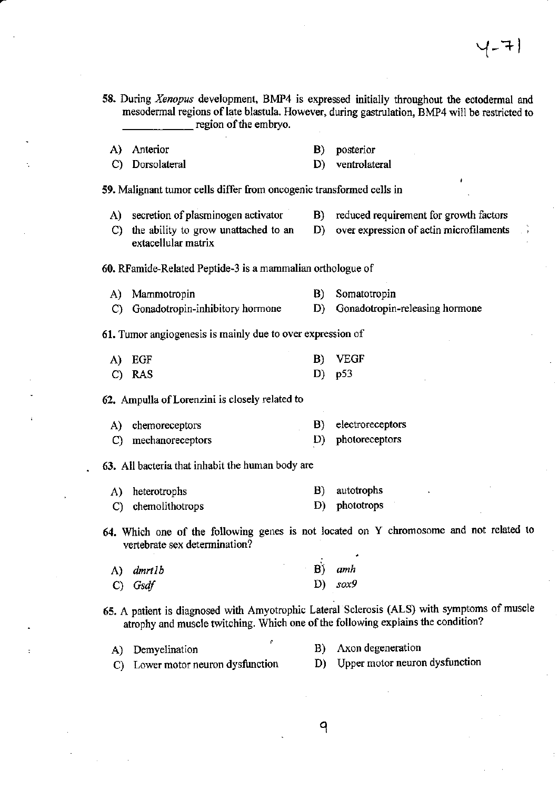58. During Xenopus development, BMP4 is expressed initially throughout the ectodermal and mesodermal regions of late blastula. However, during gastrulation, BMP4 will be restricted to region of the embryo.

D) ventrolateral

- A) Anterior B) posterior
- C) Dorsolateral
- 59. Malignant tumor cells differ from oncogenic transformed cells in
	-
	- A) secretion of plasminogen activator B) reduced requirement for growth factors
	- C) the ability to grow unattached to an  $D$ ) over expression of actin microfilaments extacellular matrix

60. RFamide-Related Peptide-3 is a mammalian orthologue of

A) Mammotropin B) Somatotropin C) Gonadotropin-inhibitory hormone D) Gonadotropin-releasing hormone

61. Tumor angiogenesis is mainly due to over expression of

| A) EGF | B) VEGF  |
|--------|----------|
| C) RAS | D) $p53$ |

62. Ampulla of Lorenzini is closely related to

A) chemoreceptors C) mechanoreceptors B) electroreceptors D) photoreceptors

63. All bacteria that inhabit the human body are

- A) heterotrophs C) chemolithotrops B) autotrophs D) phototrops
- 64. Which one of the following genes is not located on Y chromosome and not related to vertebrate sex determination?

| A) dmrtlb | $B)$ amh |           |
|-----------|----------|-----------|
| $C)$ Gsdf |          | D) $sox9$ |

- 65. A patient is diagnosed with Amyotrophic Lateral Sclerosis (ALS) with symptoms of muscle atrophy and muscle twitching. Which one of the following explains the condition?
	- A) Demyelination B) Axon degeneration C) Lower motor neuron dysfunction D) Upper motor neuron dysfunction